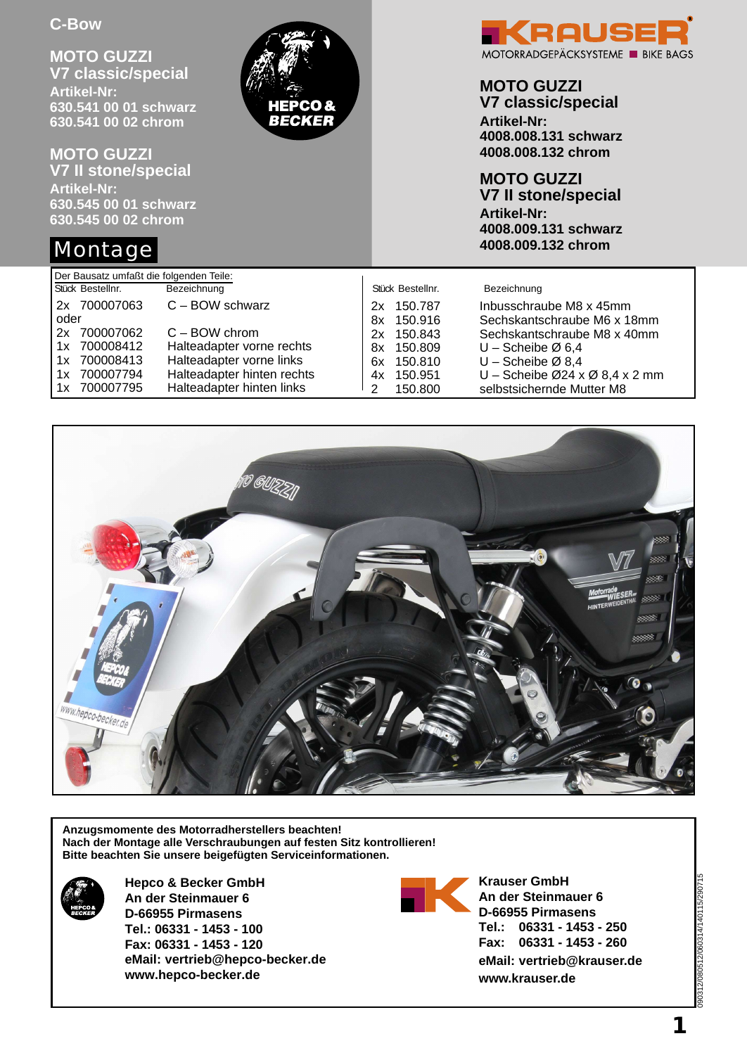**MOTO GUZZI V7 classic/special Artikel-Nr: 630.541 00 01 schwarz 630.541 00 02 chrom**

**MOTO GUZZI V7 II stone/special Artikel-Nr: 630.545 00 01 schwarz 630.545 00 02 chrom**

# Montage



## **MOTO GUZZI**

**V7 classic/special Artikel-Nr: 4008.008.131 schwarz 4008.008.132 chrom**

**MOTO GUZZI V7 II stone/special**

**Artikel-Nr: 4008.009.131 schwarz 4008.009.132 chrom**

| Der Bausatz umfaßt die folgenden Teile:                                            |                                                                                                                                     |                                                                            |                                                                                                                                          |  |  |  |  |
|------------------------------------------------------------------------------------|-------------------------------------------------------------------------------------------------------------------------------------|----------------------------------------------------------------------------|------------------------------------------------------------------------------------------------------------------------------------------|--|--|--|--|
| Stück Bestellnr.                                                                   | Bezeichnung                                                                                                                         | Stück Bestellnr.                                                           | Bezeichnung                                                                                                                              |  |  |  |  |
| 2x 700007063<br>oder                                                               | $C - BOW$ schwarz                                                                                                                   | 150.787<br>2x<br>150.916<br>8x                                             | Inbusschraube M8 x 45mm<br>Sechskantschraube M6 x 18mm                                                                                   |  |  |  |  |
| 700007062<br>2x<br>1x 700008412<br>1x 700008413<br>700007794<br>1x<br>1x 700007795 | $C - BOW$ chrom<br>Halteadapter vorne rechts<br>Halteadapter vorne links<br>Halteadapter hinten rechts<br>Halteadapter hinten links | 150.843<br>2x<br>150.809<br>8x<br>6x 150.810<br>4x 150.951<br>150.800<br>2 | Sechskantschraube M8 x 40mm<br>$U$ – Scheibe Ø 6,4<br>$U$ – Scheibe Ø 8,4<br>U - Scheibe Ø24 x Ø 8,4 x 2 mm<br>selbstsichernde Mutter M8 |  |  |  |  |

BECKER



**Anzugsmomente des Motorradherstellers beachten! Nach der Montage alle Verschraubungen auf festen Sitz kontrollieren! Bitte beachten Sie unsere beigefügten Serviceinformationen.**



**Hepco & Becker GmbH An der Steinmauer 6 D-66955 Pirmasens Tel.: 06331 - 1453 - 100 Fax: 06331 - 1453 - 120 eMail: vertrieb@hepco-becker.de www.hepco-becker.de**



**Krauser GmbH An der Steinmauer 6 D-66955 Pirmasens Tel.: 06331 - 1453 - 250 Fax: 06331 - 1453 - 260 eMail: vertrieb@krauser.de www.krauser.de**

090312/080512/060314/140115/290715 080512/060314/140115/2907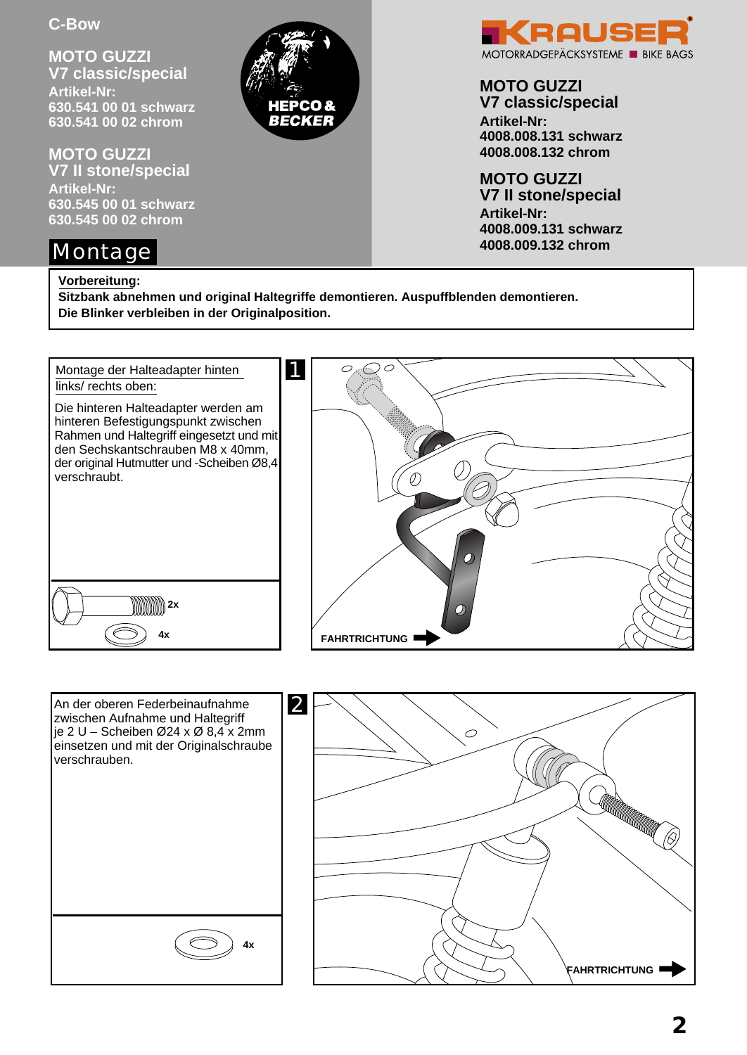**MOTO GUZZI V7 classic/special Artikel-Nr: 630.541 00 01 schwarz 630.541 00 02 chrom**

**MOTO GUZZI V7 II stone/special Artikel-Nr: 630.545 00 01 schwarz 630.545 00 02 chrom**

# Montage

#### **Vorbereitung:**

**Sitzbank abnehmen und original Haltegriffe demontieren. Auspuffblenden demontieren. Die Blinker verbleiben in der Originalposition.**

RECKER









## **MOTO GUZZI**

**V7 classic/special Artikel-Nr: 4008.008.131 schwarz 4008.008.132 chrom**

**MOTO GUZZI V7 II stone/special Artikel-Nr: 4008.009.131 schwarz 4008.009.132 chrom**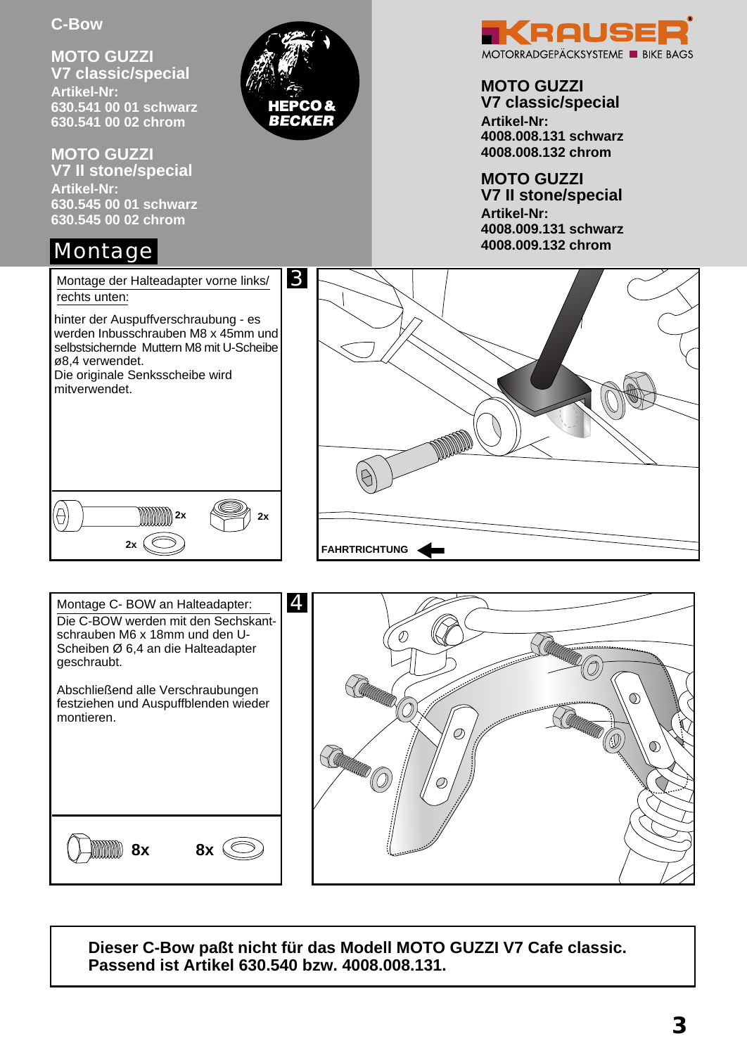**MOTO GUZZI V7 classic/special Artikel-Nr: 630.541 00 01 schwarz 630.541 00 02 chrom**

RECKER

**MOTO GUZZI V7 II stone/special Artikel-Nr: 630.545 00 01 schwarz 630.545 00 02 chrom**

# Montage

rechts unten:

ø8,4 verwendet.



#### **MOTO GUZZI V7 classic/special**

**Artikel-Nr: 4008.008.131 schwarz 4008.008.132 chrom**

**MOTO GUZZI V7 II stone/special Artikel-Nr: 4008.009.131 schwarz 4008.009.132 chrom**





hinter der Auspuffverschraubung - es werden Inbusschrauben M8 x 45mm und selbstsichernde Muttern M8 mit U-Scheibe



**Dieser C-Bow paßt nicht für das Modell MOTO GUZZI V7 Cafe classic. Passend ist Artikel 630.540 bzw. 4008.008.131.**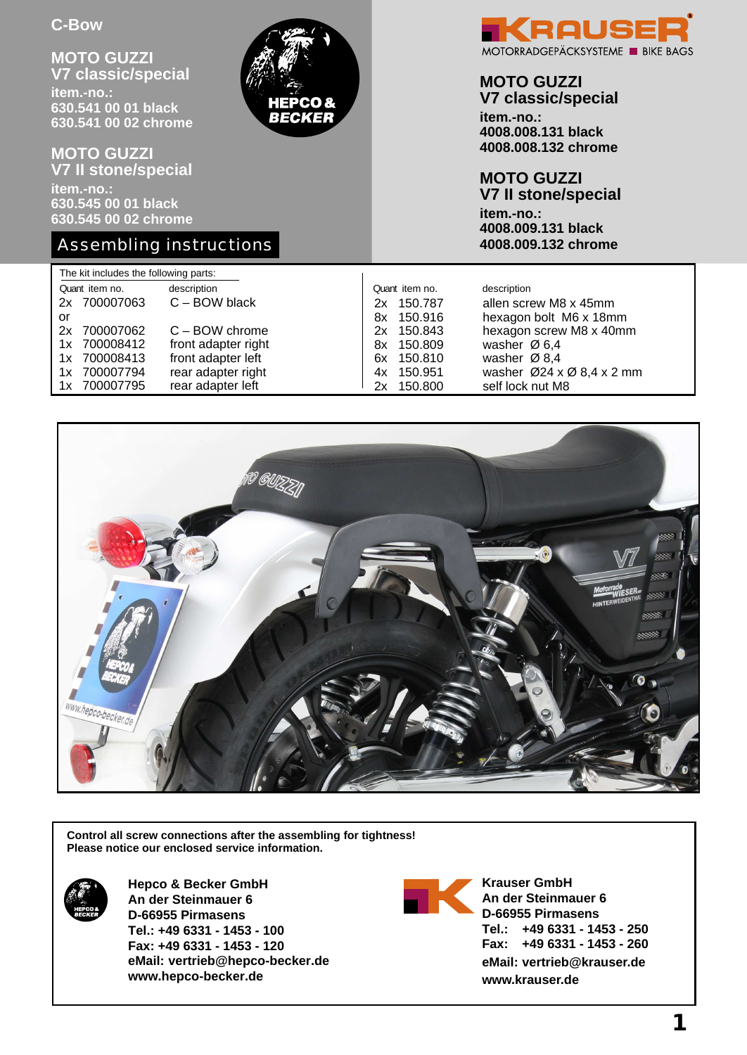**MOTO GUZZI V7 classic/special item.-no.: 630.541 00 01 black 630.541 00 02 chrome**

**MOTO GUZZI V7 II stone/special item.-no.: 630.545 00 01 black 630.545 00 02 chrome**

### Assembling instructions



#### **MOTO GUZZI V7 classic/special**

**item.-no.: 4008.008.131 black 4008.008.132 chrome**

#### **MOTO GUZZI**

**V7 II stone/special item.-no.: 4008.009.131 black 4008.009.132 chrome**

| The kit includes the following parts: |              |                     |    |                |                                                    |  |  |
|---------------------------------------|--------------|---------------------|----|----------------|----------------------------------------------------|--|--|
| Quant item no.                        |              | description         |    | Quant item no. | description                                        |  |  |
|                                       | 2x 700007063 | $C - BOW$ black     | 2x | 150.787        | allen screw M8 x 45mm                              |  |  |
| or                                    |              |                     | 8x | 150.916        | hexagon bolt M6 x 18mm                             |  |  |
| 2x                                    | 700007062    | $C - BOW$ chrome    | 2x | 150.843        | hexagon screw M8 x 40mm                            |  |  |
|                                       | 1x 700008412 | front adapter right |    | 8x 150.809     | washer $\varnothing$ 6,4                           |  |  |
|                                       | 1x 700008413 | front adapter left  | 6x | 150.810        | washer $\varnothing$ 8,4                           |  |  |
| 1x                                    | 700007794    | rear adapter right  | 4х | 150.951        | washer $\varnothing$ 24 x $\varnothing$ 8,4 x 2 mm |  |  |
|                                       | 1x 700007795 | rear adapter left   | 2x | 150.800        | self lock nut M8                                   |  |  |

**BECKER** 



**Control all screw connections after the assembling for tightness! Please notice our enclosed service information.**



**Hepco & Becker GmbH An der Steinmauer 6 D-66955 Pirmasens Tel.: +49 6331 - 1453 - 100 Fax: +49 6331 - 1453 - 120 eMail: vertrieb@hepco-becker.de www.hepco-becker.de**



**Krauser GmbH An der Steinmauer 6 D-66955 Pirmasens Tel.: +49 6331 - 1453 - 250 Fax: +49 6331 - 1453 - 260 eMail: vertrieb@krauser.de www.krauser.de**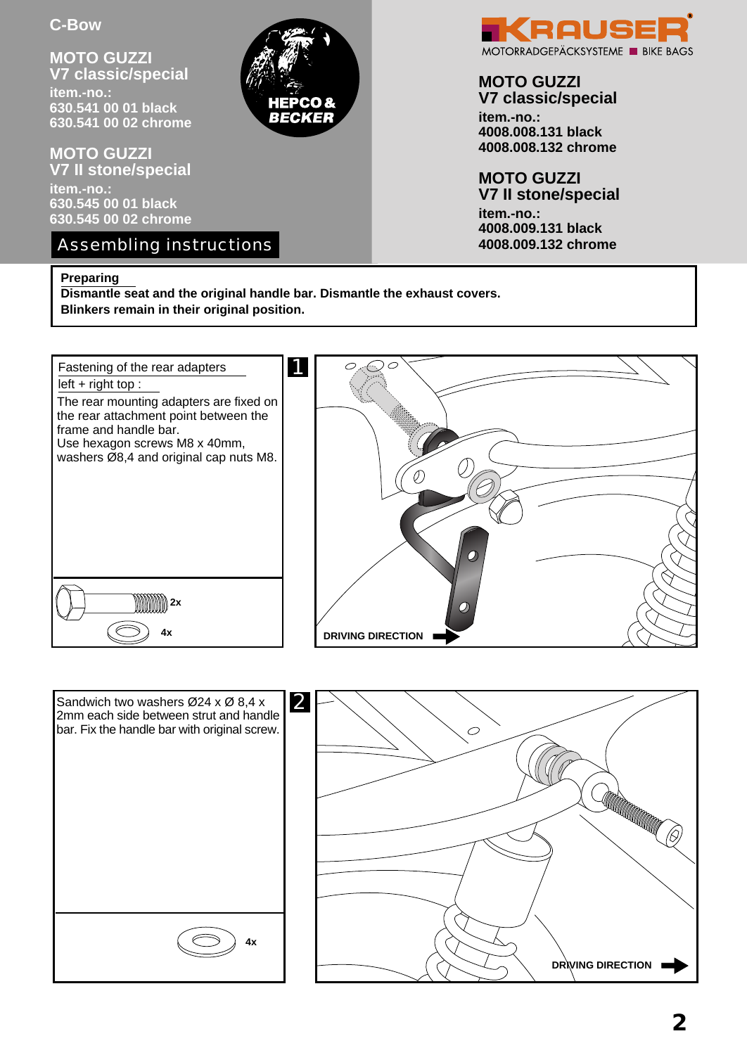**MOTO GUZZI V7 classic/special item.-no.: 630.541 00 01 black 630.541 00 02 chrome**

**MOTO GUZZI V7 II stone/special item.-no.: 630.545 00 01 black 630.545 00 02 chrome**

Assembling instructions

#### **Preparing**

**Dismantle seat and the original handle bar. Dismantle the exhaust covers. Blinkers remain in their original position.**

BECKER









## **MOTO GUZZI**

**V7 classic/special item.-no.: 4008.008.131 black 4008.008.132 chrome**

**MOTO GUZZI V7 II stone/special item.-no.: 4008.009.131 black 4008.009.132 chrome**